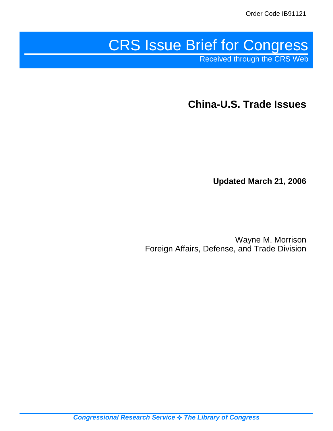# CRS Issue Brief for Congress

Received through the CRS Web

**China-U.S. Trade Issues**

**Updated March 21, 2006**

Wayne M. Morrison Foreign Affairs, Defense, and Trade Division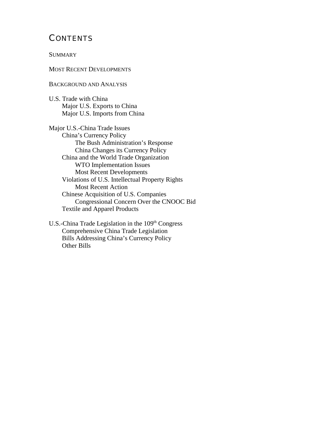# **CONTENTS**

**SUMMARY** 

#### MOST RECENT DEVELOPMENTS

#### BACKGROUND AND ANALYSIS

U.S. Trade with China Major U.S. Exports to China Major U.S. Imports from China

Major U.S.-China Trade Issues China's Currency Policy The Bush Administration's Response China Changes its Currency Policy China and the World Trade Organization WTO Implementation Issues Most Recent Developments Violations of U.S. Intellectual Property Rights Most Recent Action Chinese Acquisition of U.S. Companies Congressional Concern Over the CNOOC Bid Textile and Apparel Products

U.S.-China Trade Legislation in the 109<sup>th</sup> Congress Comprehensive China Trade Legislation Bills Addressing China's Currency Policy Other Bills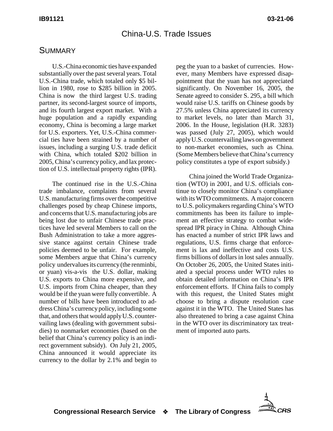# China-U.S. Trade Issues

### **SUMMARY**

U.S.-China economic ties have expanded substantially over the past several years. Total U.S.-China trade, which totaled only \$5 billion in 1980, rose to \$285 billion in 2005. China is now the third largest U.S. trading partner, its second-largest source of imports, and its fourth largest export market. With a huge population and a rapidly expanding economy, China is becoming a large market for U.S. exporters. Yet, U.S.-China commercial ties have been strained by a number of issues, including a surging U.S. trade deficit with China, which totaled \$202 billion in 2005, China's currency policy, and lax protection of U.S. intellectual property rights (IPR).

The continued rise in the U.S.-China trade imbalance, complaints from several U.S. manufacturing firms over the competitive challenges posed by cheap Chinese imports, and concerns that U.S. manufacturing jobs are being lost due to unfair Chinese trade practices have led several Members to call on the Bush Administration to take a more aggressive stance against certain Chinese trade policies deemed to be unfair. For example, some Members argue that China's currency policy undervalues its currency (the renminbi, or yuan) vis-a-vis the U.S. dollar, making U.S. exports to China more expensive, and U.S. imports from China cheaper, than they would be if the yuan were fully convertible. A number of bills have been introduced to address China's currency policy, including some that, and others that would apply U.S. countervailing laws (dealing with government subsidies) to nonmarket economies (based on the belief that China's currency policy is an indirect government subsidy). On July 21, 2005, China announced it would appreciate its currency to the dollar by 2.1% and begin to

peg the yuan to a basket of currencies. However, many Members have expressed disappointment that the yuan has not appreciated significantly. On November 16, 2005, the Senate agreed to consider S. 295, a bill which would raise U.S. tariffs on Chinese goods by 27.5% unless China appreciated its currency to market levels, no later than March 31, 2006. In the House, legislation (H.R. 3283) was passed (July 27, 2005), which would apply U.S. countervailing laws on government to non-market economies, such as China. (Some Members believe that China's currency policy constitutes a type of export subsidy.)

China joined the World Trade Organization (WTO) in 2001, and U.S. officials continue to closely monitor China's compliance with its WTO commitments. A major concern to U.S. policymakers regarding China's WTO commitments has been its failure to implement an effective strategy to combat widespread IPR piracy in China. Although China has enacted a number of strict IPR laws and regulations, U.S. firms charge that enforcement is lax and ineffective and costs U.S. firms billions of dollars in lost sales annually. On October 26, 2005, the United States initiated a special process under WTO rules to obtain detailed information on China's IPR enforcement efforts. If China fails to comply with this request, the United States might choose to bring a dispute resolution case against it in the WTO. The United States has also threatened to bring a case against China in the WTO over its discriminatory tax treatment of imported auto parts.

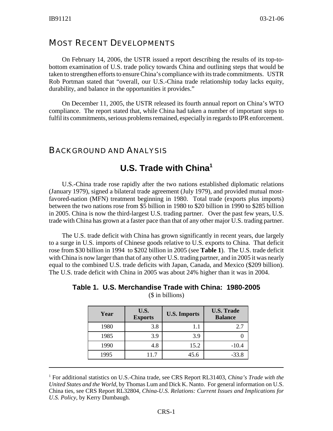# MOST RECENT DEVELOPMENTS

On February 14, 2006, the USTR issued a report describing the results of its top-tobottom examination of U.S. trade policy towards China and outlining steps that would be taken to strengthen efforts to ensure China's compliance with its trade commitments. USTR Rob Portman stated that "overall, our U.S.-China trade relationship today lacks equity, durability, and balance in the opportunities it provides."

On December 11, 2005, the USTR released its fourth annual report on China's WTO compliance. The report stated that, while China had taken a number of important steps to fulfil its commitments, serious problems remained, especially in regards to IPR enforcement.

## BACKGROUND AND ANALYSIS

# **U.S. Trade with China1**

U.S.-China trade rose rapidly after the two nations established diplomatic relations (January 1979), signed a bilateral trade agreement (July 1979), and provided mutual mostfavored-nation (MFN) treatment beginning in 1980. Total trade (exports plus imports) between the two nations rose from \$5 billion in 1980 to \$20 billion in 1990 to \$285 billion in 2005. China is now the third-largest U.S. trading partner. Over the past few years, U.S. trade with China has grown at a faster pace than that of any other major U.S. trading partner.

The U.S. trade deficit with China has grown significantly in recent years, due largely to a surge in U.S. imports of Chinese goods relative to U.S. exports to China. That deficit rose from \$30 billion in 1994 to \$202 billion in 2005 (see **Table 1**). The U.S. trade deficit with China is now larger than that of any other U.S. trading partner, and in 2005 it was nearly equal to the combined U.S. trade deficits with Japan, Canada, and Mexico (\$209 billion). The U.S. trade deficit with China in 2005 was about 24% higher than it was in 2004.

| Table 1. U.S. Merchandise Trade with China: 1980-2005 |  |
|-------------------------------------------------------|--|
| (\$ in billions)                                      |  |

| Year | U.S.<br><b>Exports</b> | <b>U.S. Imports</b> | <b>U.S. Trade</b><br><b>Balance</b> |
|------|------------------------|---------------------|-------------------------------------|
| 1980 | 3.8                    | 1.1                 | 2.7                                 |
| 1985 | 3.9                    | 3.9                 |                                     |
| 1990 | 4.8                    | 15.2                | $-10.4$                             |
| 1995 | 11.7                   | 45.6                | $-33.8$                             |

<sup>1</sup> For additional statistics on U.S.-China trade, see CRS Report RL31403, *China's Trade with the United States and the World*, by Thomas Lum and Dick K. Nanto. For general information on U.S. China ties, see CRS Report RL32804, *China-U.S. Relations: Current Issues and Implications for U.S. Policy*, by Kerry Dumbaugh.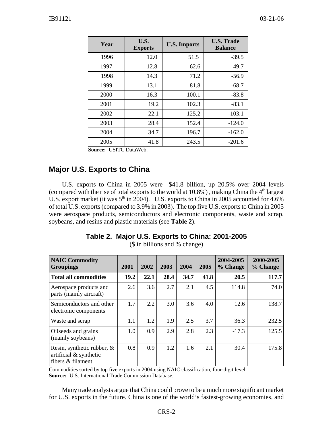| Year | U.S.<br><b>Exports</b> | <b>U.S. Imports</b> | <b>U.S. Trade</b><br><b>Balance</b> |  |
|------|------------------------|---------------------|-------------------------------------|--|
| 1996 | 12.0                   | 51.5                | $-39.5$                             |  |
| 1997 | 12.8                   | 62.6                | $-49.7$                             |  |
| 1998 | 14.3                   | 71.2                | $-56.9$                             |  |
| 1999 | 13.1                   | 81.8                | $-68.7$                             |  |
| 2000 | 16.3                   | 100.1               | $-83.8$                             |  |
| 2001 | 19.2                   | 102.3               | $-83.1$                             |  |
| 2002 | 22.1                   | 125.2               | $-103.1$                            |  |
| 2003 | 28.4                   | 152.4               | $-124.0$                            |  |
| 2004 | 34.7                   | 196.7               | $-162.0$                            |  |
| 2005 | 41.8                   | 243.5               | $-201.6$                            |  |

**Source:** USITC DataWeb.

# **Major U.S. Exports to China**

U.S. exports to China in 2005 were \$41.8 billion, up 20.5% over 2004 levels (compared with the rise of total exports to the world at  $10.8\%$ ), making China the  $4<sup>th</sup>$  largest U.S. export market (it was  $5<sup>th</sup>$  in 2004). U.S. exports to China in 2005 accounted for 4.6% of total U.S. exports (compared to 3.9% in 2003). The top five U.S. exports to China in 2005 were aerospace products, semiconductors and electronic components, waste and scrap, soybeans, and resins and plastic materials (see **Table 2**).

| <b>NAIC Commodity</b><br><b>Groupings</b>                                       | 2001 | 2002 | 2003 | 2004 | 2005 | 2004-2005<br>% Change | 2000-2005<br>% Change |
|---------------------------------------------------------------------------------|------|------|------|------|------|-----------------------|-----------------------|
| <b>Total all commodities</b>                                                    | 19.2 | 22.1 | 28.4 | 34.7 | 41.8 | 20.5                  | 117.7                 |
| Aerospace products and<br>parts (mainly aircraft)                               | 2.6  | 3.6  | 2.7  | 2.1  | 4.5  | 114.8                 | 74.0                  |
| Semiconductors and other<br>electronic components                               | 1.7  | 2.2  | 3.0  | 3.6  | 4.0  | 12.6                  | 138.7                 |
| Waste and scrap                                                                 | 1.1  | 1.2  | 1.9  | 2.5  | 3.7  | 36.3                  | 232.5                 |
| Oilseeds and grains<br>(mainly soybeans)                                        | 1.0  | 0.9  | 2.9  | 2.8  | 2.3  | $-17.3$               | 125.5                 |
| Resin, synthetic rubber, $\&$<br>artificial $\&$ synthetic<br>fibers & filament | 0.8  | 0.9  | 1.2  | 1.6  | 2.1  | 30.4                  | 175.8                 |

(\$ in billions and % change)

Commodities sorted by top five exports in 2004 using NAIC classification, four-digit level. **Source:** U.S. International Trade Commission Database.

Many trade analysts argue that China could prove to be a much more significant market for U.S. exports in the future. China is one of the world's fastest-growing economies, and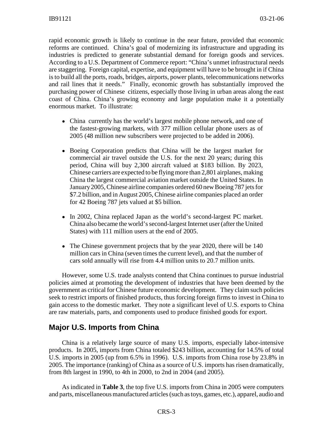rapid economic growth is likely to continue in the near future, provided that economic reforms are continued. China's goal of modernizing its infrastructure and upgrading its industries is predicted to generate substantial demand for foreign goods and services. According to a U.S. Department of Commerce report: "China's unmet infrastructural needs are staggering. Foreign capital, expertise, and equipment will have to be brought in if China is to build all the ports, roads, bridges, airports, power plants, telecommunications networks and rail lines that it needs." Finally, economic growth has substantially improved the purchasing power of Chinese citizens, especially those living in urban areas along the east coast of China. China's growing economy and large population make it a potentially enormous market. To illustrate:

- ! China currently has the world's largest mobile phone network, and one of the fastest-growing markets, with 377 million cellular phone users as of 2005 (48 million new subscribers were projected to be added in 2006).
- Boeing Corporation predicts that China will be the largest market for commercial air travel outside the U.S. for the next 20 years; during this period, China will buy 2,300 aircraft valued at \$183 billion. By 2023, Chinese carriers are expected to be flying more than 2,801 airplanes, making China the largest commercial aviation market outside the United States. In January 2005, Chinese airline companies ordered 60 new Boeing 787 jets for \$7.2 billion, and in August 2005, Chinese airline companies placed an order for 42 Boeing 787 jets valued at \$5 billion.
- In 2002, China replaced Japan as the world's second-largest PC market. China also became the world's second-largest Internet user (after the United States) with 111 million users at the end of 2005.
- The Chinese government projects that by the year 2020, there will be 140 million cars in China (seven times the current level), and that the number of cars sold annually will rise from 4.4 million units to 20.7 million units.

However, some U.S. trade analysts contend that China continues to pursue industrial policies aimed at promoting the development of industries that have been deemed by the government as critical for Chinese future economic development. They claim such policies seek to restrict imports of finished products, thus forcing foreign firms to invest in China to gain access to the domestic market. They note a significant level of U.S. exports to China are raw materials, parts, and components used to produce finished goods for export.

#### **Major U.S. Imports from China**

China is a relatively large source of many U.S. imports, especially labor-intensive products. In 2005, imports from China totaled \$243 billion, accounting for 14.5% of total U.S. imports in 2005 (up from 6.5% in 1996). U.S. imports from China rose by 23.8% in 2005. The importance (ranking) of China as a source of U.S. imports has risen dramatically, from 8th largest in 1990, to 4th in 2000, to 2nd in 2004 (and 2005).

As indicated in **Table 3**, the top five U.S. imports from China in 2005 were computers and parts, miscellaneous manufactured articles (such as toys, games, etc.), apparel, audio and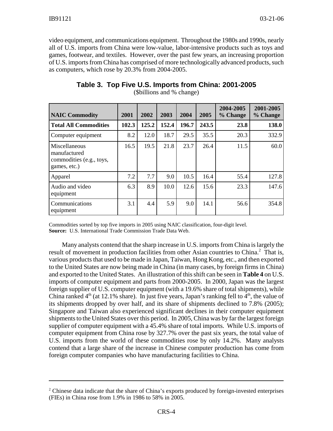video equipment, and communications equipment. Throughout the 1980s and 1990s, nearly all of U.S. imports from China were low-value, labor-intensive products such as toys and games, footwear, and textiles. However, over the past few years, an increasing proportion of U.S. imports from China has comprised of more technologically advanced products, such as computers, which rose by 20.3% from 2004-2005.

| <b>NAIC Commodity</b>                                                     | 2001  | 2002  | 2003  | 2004  | 2005  | 2004-2005<br>% Change | 2001-2005<br>% Change |
|---------------------------------------------------------------------------|-------|-------|-------|-------|-------|-----------------------|-----------------------|
| <b>Total All Commodities</b>                                              | 102.3 | 125.2 | 152.4 | 196.7 | 243.5 | 23.8                  | 138.0                 |
| Computer equipment                                                        | 8.2   | 12.0  | 18.7  | 29.5  | 35.5  | 20.3                  | 332.9                 |
| Miscellaneous<br>manufactured<br>commodities (e.g., toys,<br>games, etc.) | 16.5  | 19.5  | 21.8  | 23.7  | 26.4  | 11.5                  | 60.0                  |
| Apparel                                                                   | 7.2   | 7.7   | 9.0   | 10.5  | 16.4  | 55.4                  | 127.8                 |
| Audio and video<br>equipment                                              | 6.3   | 8.9   | 10.0  | 12.6  | 15.6  | 23.3                  | 147.6                 |
| Communications<br>equipment                                               | 3.1   | 4.4   | 5.9   | 9.0   | 14.1  | 56.6                  | 354.8                 |

# **Table 3. Top Five U.S. Imports from China: 2001-2005**

(\$billions and % change)

Commodities sorted by top five imports in 2005 using NAIC classification, four-digit level. **Source:** U.S. International Trade Commission Trade Data Web.

Many analysts contend that the sharp increase in U.S. imports from China is largely the result of movement in production facilities from other Asian countries to China.<sup>2</sup> That is, various products that used to be made in Japan, Taiwan, Hong Kong, etc., and then exported to the United States are now being made in China (in many cases, by foreign firms in China) and exported to the United States. An illustration of this shift can be seen in **Table 4** on U.S. imports of computer equipment and parts from 2000-2005. In 2000, Japan was the largest foreign supplier of U.S. computer equipment (with a 19.6% share of total shipments), while China ranked  $4<sup>th</sup>$  (at 12.1% share). In just five years, Japan's ranking fell to  $4<sup>th</sup>$ , the value of its shipments dropped by over half, and its share of shipments declined to 7.8% (2005); Singapore and Taiwan also experienced significant declines in their computer equipment shipments to the United States over this period. In 2005, China was by far the largest foreign supplier of computer equipment with a 45.4% share of total imports. While U.S. imports of computer equipment from China rose by 327.7% over the past six years, the total value of U.S. imports from the world of these commodities rose by only 14.2%. Many analysts contend that a large share of the increase in Chinese computer production has come from foreign computer companies who have manufacturing facilities to China.

<sup>&</sup>lt;sup>2</sup> Chinese data indicate that the share of China's exports produced by foreign-invested enterprises (FIEs) in China rose from 1.9% in 1986 to 58% in 2005.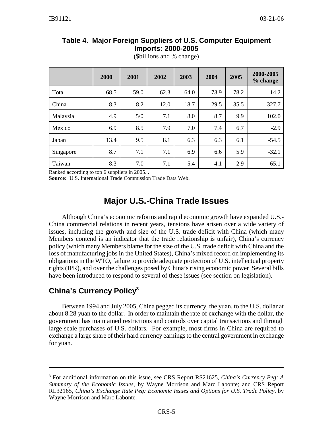|           | 2000 | 2001 | 2002 | 2003 | 2004 | 2005 | 2000-2005<br>% change |
|-----------|------|------|------|------|------|------|-----------------------|
| Total     | 68.5 | 59.0 | 62.3 | 64.0 | 73.9 | 78.2 | 14.2                  |
| China     | 8.3  | 8.2  | 12.0 | 18.7 | 29.5 | 35.5 | 327.7                 |
| Malaysia  | 4.9  | 5/0  | 7.1  | 8.0  | 8.7  | 9.9  | 102.0                 |
| Mexico    | 6.9  | 8.5  | 7.9  | 7.0  | 7.4  | 6.7  | $-2.9$                |
| Japan     | 13.4 | 9.5  | 8.1  | 6.3  | 6.3  | 6.1  | $-54.5$               |
| Singapore | 8.7  | 7.1  | 7.1  | 6.9  | 6.6  | 5.9  | $-32.1$               |
| Taiwan    | 8.3  | 7.0  | 7.1  | 5.4  | 4.1  | 2.9  | $-65.1$               |

#### **Table 4. Major Foreign Suppliers of U.S. Computer Equipment Imports: 2000-2005**

(\$billions and % change)

Ranked according to top 6 suppliers in 2005. .

**Source:** U.S. International Trade Commission Trade Data Web.

# **Major U.S.-China Trade Issues**

Although China's economic reforms and rapid economic growth have expanded U.S.- China commercial relations in recent years, tensions have arisen over a wide variety of issues, including the growth and size of the U.S. trade deficit with China (which many Members contend is an indicator that the trade relationship is unfair), China's currency policy (which many Members blame for the size of the U.S. trade deficit with China and the loss of manufacturing jobs in the United States), China's mixed record on implementing its obligations in the WTO, failure to provide adequate protection of U.S. intellectual property rights (IPR), and over the challenges posed by China's rising economic power Several bills have been introduced to respond to several of these issues (see section on legislation).

# **China's Currency Policy3**

Between 1994 and July 2005, China pegged its currency, the yuan, to the U.S. dollar at about 8.28 yuan to the dollar. In order to maintain the rate of exchange with the dollar, the government has maintained restrictions and controls over capital transactions and through large scale purchases of U.S. dollars. For example, most firms in China are required to exchange a large share of their hard currency earnings to the central government in exchange for yuan.

<sup>3</sup> For additional information on this issue, see CRS Report RS21625, *China's Currency Peg: A Summary of the Economic Issues*, by Wayne Morrison and Marc Labonte; and CRS Report RL32165, *China's Exchange Rate Peg: Economic Issues and Options for U.S. Trade Policy*, by Wayne Morrison and Marc Labonte.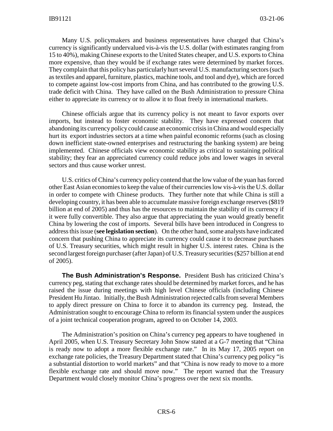Many U.S. policymakers and business representatives have charged that China's currency is significantly undervalued vis-à-vis the U.S. dollar (with estimates ranging from 15 to 40%), making Chinese exports to the United States cheaper, and U.S. exports to China more expensive, than they would be if exchange rates were determined by market forces. They complain that this policy has particularly hurt several U.S. manufacturing sectors (such as textiles and apparel, furniture, plastics, machine tools, and tool and dye), which are forced to compete against low-cost imports from China, and has contributed to the growing U.S. trade deficit with China. They have called on the Bush Administration to pressure China either to appreciate its currency or to allow it to float freely in international markets.

Chinese officials argue that its currency policy is not meant to favor exports over imports, but instead to foster economic stability. They have expressed concern that abandoning its currency policy could cause an economic crisis in China and would especially hurt its export industries sectors at a time when painful economic reforms (such as closing down inefficient state-owned enterprises and restructuring the banking system) are being implemented. Chinese officials view economic stability as critical to sustaining political stability; they fear an appreciated currency could reduce jobs and lower wages in several sectors and thus cause worker unrest.

U.S. critics of China's currency policy contend that the low value of the yuan has forced other East Asian economies to keep the value of their currencies low vis-à-vis the U.S. dollar in order to compete with Chinese products. They further note that while China is still a developing country, it has been able to accumulate massive foreign exchange reserves (\$819 billion at end of 2005) and thus has the resources to maintain the stability of its currency if it were fully convertible. They also argue that appreciating the yuan would greatly benefit China by lowering the cost of imports. Several bills have been introduced in Congress to address this issue (**see legislation section**). On the other hand, some analysts have indicated concern that pushing China to appreciate its currency could cause it to decrease purchases of U.S. Treasury securities, which might result in higher U.S. interest rates. China is the second largest foreign purchaser (after Japan) of U.S. Treasury securities (\$257 billion at end of 2005).

**The Bush Administration's Response.** President Bush has criticized China's currency peg, stating that exchange rates should be determined by market forces, and he has raised the issue during meetings with high level Chinese officials (including Chinese President Hu Jintao. Initially, the Bush Administration rejected calls from several Members to apply direct pressure on China to force it to abandon its currency peg. Instead, the Administration sought to encourage China to reform its financial system under the auspices of a joint technical cooperation program, agreed to on October 14, 2003.

The Administration's position on China's currency peg appears to have toughened in April 2005, when U.S. Treasury Secretary John Snow stated at a G-7 meeting that "China is ready now to adopt a more flexible exchange rate." In its May 17, 2005 report on exchange rate policies, the Treasury Department stated that China's currency peg policy "is a substantial distortion to world markets" and that "China is now ready to move to a more flexible exchange rate and should move now." The report warned that the Treasury Department would closely monitor China's progress over the next six months.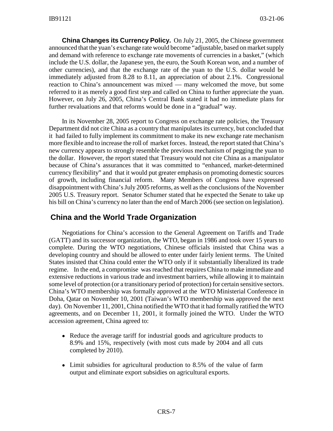**China Changes its Currency Policy.** On July 21, 2005, the Chinese government announced that the yuan's exchange rate would become "adjustable, based on market supply and demand with reference to exchange rate movements of currencies in a basket," (which include the U.S. dollar, the Japanese yen, the euro, the South Korean won, and a number of other currencies), and that the exchange rate of the yuan to the U.S. dollar would be immediately adjusted from 8.28 to 8.11, an appreciation of about 2.1%. Congressional reaction to China's announcement was mixed — many welcomed the move, but some referred to it as merely a good first step and called on China to further appreciate the yuan. However, on July 26, 2005, China's Central Bank stated it had no immediate plans for further revaluations and that reforms would be done in a "gradual" way.

In its November 28, 2005 report to Congress on exchange rate policies, the Treasury Department did not cite China as a country that manipulates its currency, but concluded that it had failed to fully implement its commitment to make its new exchange rate mechanism more flexible and to increase the roll of market forces. Instead, the report stated that China's new currency appears to strongly resemble the previous mechanism of pegging the yuan to the dollar. However, the report stated that Treasury would not cite China as a manipulator because of China's assurances that it was committed to "enhanced, market-determined currency flexibility" and that it would put greater emphasis on promoting domestic sources of growth, including financial reform. Many Members of Congress have expressed disappointment with China's July 2005 reforms, as well as the conclusions of the November 2005 U.S. Treasury report. Senator Schumer stated that he expected the Senate to take up his bill on China's currency no later than the end of March 2006 (see section on legislation).

#### **China and the World Trade Organization**

Negotiations for China's accession to the General Agreement on Tariffs and Trade (GATT) and its successor organization, the WTO, began in 1986 and took over 15 years to complete. During the WTO negotiations, Chinese officials insisted that China was a developing country and should be allowed to enter under fairly lenient terms. The United States insisted that China could enter the WTO only if it substantially liberalized its trade regime. In the end, a compromise was reached that requires China to make immediate and extensive reductions in various trade and investment barriers, while allowing it to maintain some level of protection (or a transitionary period of protection) for certain sensitive sectors. China's WTO membership was formally approved at the WTO Ministerial Conference in Doha, Qatar on November 10, 2001 (Taiwan's WTO membership was approved the next day). On November 11, 2001, China notified the WTO that it had formally ratified the WTO agreements, and on December 11, 2001, it formally joined the WTO. Under the WTO accession agreement, China agreed to:

- Reduce the average tariff for industrial goods and agriculture products to 8.9% and 15%, respectively (with most cuts made by 2004 and all cuts completed by 2010).
- Limit subsidies for agricultural production to 8.5% of the value of farm output and eliminate export subsidies on agricultural exports.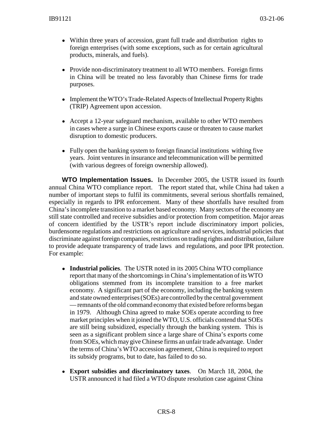- ! Within three years of accession, grant full trade and distribution rights to foreign enterprises (with some exceptions, such as for certain agricultural products, minerals, and fuels).
- Provide non-discriminatory treatment to all WTO members. Foreign firms in China will be treated no less favorably than Chinese firms for trade purposes.
- Implement the WTO's Trade-Related Aspects of Intellectual Property Rights (TRIP) Agreement upon accession.
- Accept a 12-year safeguard mechanism, available to other WTO members in cases where a surge in Chinese exports cause or threaten to cause market disruption to domestic producers.
- ! Fully open the banking system to foreign financial institutions withing five years. Joint ventures in insurance and telecommunication will be permitted (with various degrees of foreign ownership allowed).

**WTO Implementation Issues.** In December 2005, the USTR issued its fourth annual China WTO compliance report. The report stated that, while China had taken a number of important steps to fulfil its commitments, several serious shortfalls remained, especially in regards to IPR enforcement. Many of these shortfalls have resulted from China's incomplete transition to a market based economy. Many sectors of the economy are still state controlled and receive subsidies and/or protection from competition. Major areas of concern identified by the USTR's report include discriminatory import policies, burdensome regulations and restrictions on agriculture and services, industrial policies that discriminate against foreign companies, restrictions on trading rights and distribution, failure to provide adequate transparency of trade laws and regulations, and poor IPR protection. For example:

- ! **Industrial policies**. The USTR noted in its 2005 China WTO compliance report that many of the shortcomings in China's implementation of its WTO obligations stemmed from its incomplete transition to a free market economy. A significant part of the economy, including the banking system and state owned enterprises (SOEs) are controlled by the central government — remnants of the old command economy that existed before reforms began in 1979. Although China agreed to make SOEs operate according to free market principles when it joined the WTO, U.S. officials contend that SOEs are still being subsidized, especially through the banking system. This is seen as a significant problem since a large share of China's exports come from SOEs, which may give Chinese firms an unfair trade advantage. Under the terms of China's WTO accession agreement, China is required to report its subsidy programs, but to date, has failed to do so.
- ! **Export subsidies and discriminatory taxes**. On March 18, 2004, the USTR announced it had filed a WTO dispute resolution case against China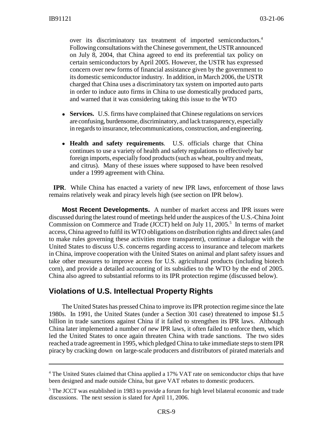over its discriminatory tax treatment of imported semiconductors.4 Following consultations with the Chinese government, the USTR announced on July 8, 2004, that China agreed to end its preferential tax policy on certain semiconductors by April 2005. However, the USTR has expressed concern over new forms of financial assistance given by the government to its domestic semiconductor industry. In addition, in March 2006, the USTR charged that China uses a discriminatory tax system on imported auto parts in order to induce auto firms in China to use domestically produced parts, and warned that it was considering taking this issue to the WTO

- ! **Services.** U.S. firms have complained that Chinese regulations on services are confusing, burdensome, discriminatory, and lack transparency, especially in regards to insurance, telecommunications, construction, and engineering.
- ! **Health and safety requirements**. U.S. officials charge that China continues to use a variety of health and safety regulations to effectively bar foreign imports, especially food products (such as wheat, poultry and meats, and citrus). Many of these issues where supposed to have been resolved under a 1999 agreement with China.

 **IPR**. While China has enacted a variety of new IPR laws, enforcement of those laws remains relatively weak and piracy levels high (see section on IPR below).

**Most Recent Developments.** A number of market access and IPR issues were discussed during the latest round of meetings held under the auspices of the U.S.-China Joint Commission on Commerce and Trade (JCCT) held on July 11, 2005.<sup>5</sup> In terms of market access, China agreed to fulfil its WTO obligations on distribution rights and direct sales (and to make rules governing these activities more transparent), continue a dialogue with the United States to discuss U.S. concerns regarding access to insurance and telecom markets in China, improve cooperation with the United States on animal and plant safety issues and take other measures to improve access for U.S. agricultural products (including biotech corn), and provide a detailed accounting of its subsidies to the WTO by the end of 2005. China also agreed to substantial reforms to its IPR protection regime (discussed below).

#### **Violations of U.S. Intellectual Property Rights**

The United States has pressed China to improve its IPR protection regime since the late 1980s. In 1991, the United States (under a Section 301 case) threatened to impose \$1.5 billion in trade sanctions against China if it failed to strengthen its IPR laws. Although China later implemented a number of new IPR laws, it often failed to enforce them, which led the United States to once again threaten China with trade sanctions. The two sides reached a trade agreement in 1995, which pledged China to take immediate steps to stem IPR piracy by cracking down on large-scale producers and distributors of pirated materials and

<sup>&</sup>lt;sup>4</sup> The United States claimed that China applied a 17% VAT rate on semiconductor chips that have been designed and made outside China, but gave VAT rebates to domestic producers.

<sup>&</sup>lt;sup>5</sup> The JCCT was established in 1983 to provide a forum for high level bilateral economic and trade discussions. The next session is slated for April 11, 2006.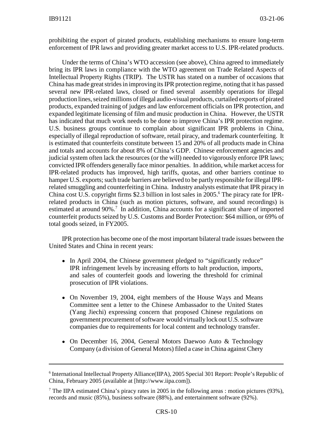prohibiting the export of pirated products, establishing mechanisms to ensure long-term enforcement of IPR laws and providing greater market access to U.S. IPR-related products.

Under the terms of China's WTO accession (see above), China agreed to immediately bring its IPR laws in compliance with the WTO agreement on Trade Related Aspects of Intellectual Property Rights (TRIP). The USTR has stated on a number of occasions that China has made great strides in improving its IPR protection regime, noting that it has passed several new IPR-related laws, closed or fined several assembly operations for illegal production lines, seized millions of illegal audio-visual products, curtailed exports of pirated products, expanded training of judges and law enforcement officials on IPR protection, and expanded legitimate licensing of film and music production in China. However, the USTR has indicated that much work needs to be done to improve China's IPR protection regime. U.S. business groups continue to complain about significant IPR problems in China, especially of illegal reproduction of software, retail piracy, and trademark counterfeiting. It is estimated that counterfeits constitute between 15 and 20% of all products made in China and totals and accounts for about 8% of China's GDP. Chinese enforcement agencies and judicial system often lack the resources (or the will) needed to vigorously enforce IPR laws; convicted IPR offenders generally face minor penalties. In addition, while market access for IPR-related products has improved, high tariffs, quotas, and other barriers continue to hamper U.S. exports; such trade barriers are believed to be partly responsible for illegal IPRrelated smuggling and counterfeiting in China. Industry analysts estimate that IPR piracy in China cost U.S. copyright firms \$2.3 billion in lost sales in 2005.<sup>6</sup> The piracy rate for IPRrelated products in China (such as motion pictures, software, and sound recordings) is estimated at around 90%.<sup>7</sup> In addition, China accounts for a significant share of imported counterfeit products seized by U.S. Customs and Border Protection: \$64 million, or 69% of total goods seized, in FY2005.

IPR protection has become one of the most important bilateral trade issues between the United States and China in recent years:

- In April 2004, the Chinese government pledged to "significantly reduce" IPR infringement levels by increasing efforts to halt production, imports, and sales of counterfeit goods and lowering the threshold for criminal prosecution of IPR violations.
- On November 19, 2004, eight members of the House Ways and Means Committee sent a letter to the Chinese Ambassador to the United States (Yang Jiechi) expressing concern that proposed Chinese regulations on government procurement of software would virtually lock out U.S. software companies due to requirements for local content and technology transfer.
- On December 16, 2004, General Motors Daewoo Auto & Technology Company (a division of General Motors) filed a case in China against Chery

<sup>&</sup>lt;sup>6</sup> International Intellectual Property Alliance(IIPA), 2005 Special 301 Report: People's Republic of China, February 2005 (available at [http://www.iipa.com]).

<sup>&</sup>lt;sup>7</sup> The IIPA estimated China's piracy rates in 2005 in the following areas : motion pictures (93%), records and music (85%), business software (88%), and entertainment software (92%).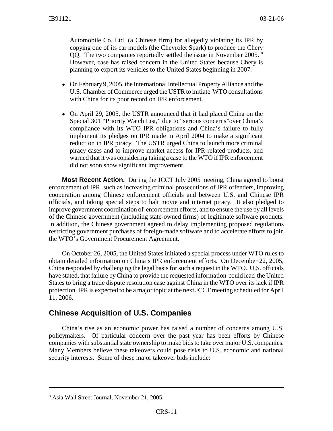Automobile Co. Ltd. (a Chinese firm) for allegedly violating its IPR by copying one of its car models (the Chevrolet Spark) to produce the Chery QQ. The two companies reportedly settled the issue in November 2005. 8 However, case has raised concern in the United States because Chery is planning to export its vehicles to the United States beginning in 2007.

- On February 9, 2005, the International Intellectual Property Alliance and the U.S. Chamber of Commerce urged the USTR to initiate WTO consultations with China for its poor record on IPR enforcement.
- On April 29, 2005, the USTR announced that it had placed China on the Special 301 "Priority Watch List," due to "serious concerns"over China's compliance with its WTO IPR obligations and China's failure to fully implement its pledges on IPR made in April 2004 to make a significant reduction in IPR piracy. The USTR urged China to launch more criminal piracy cases and to improve market access for IPR-related products, and warned that it was considering taking a case to the WTO if IPR enforcement did not soon show significant improvement.

**Most Recent Action.** During the JCCT July 2005 meeting, China agreed to boost enforcement of IPR, such as increasing criminal prosecutions of IPR offenders, improving cooperation among Chinese enforcement officials and between U.S. and Chinese IPR officials, and taking special steps to halt movie and internet piracy. It also pledged to improve government coordination of enforcement efforts, and to ensure the use by all levels of the Chinese government (including state-owned firms) of legitimate software products. In addition, the Chinese government agreed to delay implementing proposed regulations restricting government purchases of foreign-made software and to accelerate efforts to join the WTO's Government Procurement Agreement.

On October 26, 2005, the United States initiated a special process under WTO rules to obtain detailed information on China's IPR enforcement efforts. On December 22, 2005, China responded by challenging the legal basis for such a request in the WTO. U.S. officials have stated, that failure by China to provide the requested information could lead the United States to bring a trade dispute resolution case against China in the WTO over its lack if IPR protection. IPR is expected to be a major topic at the next JCCT meeting scheduled for April 11, 2006.

#### **Chinese Acquisition of U.S. Companies**

China's rise as an economic power has raised a number of concerns among U.S. policymakers. Of particular concern over the past year has been efforts by Chinese companies with substantial state ownership to make bids to take over major U.S. companies. Many Members believe these takeovers could pose risks to U.S. economic and national security interests. Some of these major takeover bids include:

<sup>8</sup> Asia Wall Street Journal, November 21, 2005.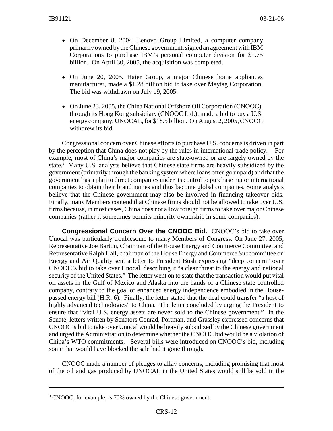- On December 8, 2004, Lenovo Group Limited, a computer company primarily owned by the Chinese government, signed an agreement with IBM Corporations to purchase IBM's personal computer division for \$1.75 billion. On April 30, 2005, the acquisition was completed.
- On June 20, 2005, Haier Group, a major Chinese home appliances manufacturer, made a \$1.28 billion bid to take over Maytag Corporation. The bid was withdrawn on July 19, 2005.
- On June 23, 2005, the China National Offshore Oil Corporation (CNOOC), through its Hong Kong subsidiary (CNOOC Ltd.), made a bid to buy a U.S. energy company, UNOCAL, for \$18.5 billion. On August 2, 2005, CNOOC withdrew its bid.

Congressional concern over Chinese efforts to purchase U.S. concerns is driven in part by the perception that China does not play by the rules in international trade policy. For example, most of China's major companies are state-owned or are largely owned by the state.<sup>9</sup> Many U.S. analysts believe that Chinese state firms are heavily subsidized by the government (primarily through the banking system where loans often go unpaid) and that the government has a plan to direct companies under its control to purchase major international companies to obtain their brand names and thus become global companies. Some analysts believe that the Chinese government may also be involved in financing takeover bids. Finally, many Members contend that Chinese firms should not be allowed to take over U.S. firms because, in most cases, China does not allow foreign firms to take over major Chinese companies (rather it sometimes permits minority ownership in some companies).

**Congressional Concern Over the CNOOC Bid.** CNOOC's bid to take over Unocal was particularly troublesome to many Members of Congress. On June 27, 2005, Representative Joe Barton, Chairman of the House Energy and Commerce Committee, and Representative Ralph Hall, chairman of the House Energy and Commerce Subcommittee on Energy and Air Quality sent a letter to President Bush expressing "deep concern" over CNOOC's bid to take over Unocal, describing it "a clear threat to the energy and national security of the United States." The letter went on to state that the transaction would put vital oil assets in the Gulf of Mexico and Alaska into the hands of a Chinese state controlled company, contrary to the goal of enhanced energy independence embodied in the Housepassed energy bill (H.R. 6). Finally, the letter stated that the deal could transfer "a host of highly advanced technologies" to China. The letter concluded by urging the President to ensure that "vital U.S. energy assets are never sold to the Chinese government." In the Senate, letters written by Senators Conrad, Portman, and Grassley expressed concerns that CNOOC's bid to take over Unocal would be heavily subsidized by the Chinese government and urged the Administration to determine whether the CNOOC bid would be a violation of China's WTO commitments. Several bills were introduced on CNOOC's bid, including some that would have blocked the sale had it gone through.

CNOOC made a number of pledges to allay concerns, including promising that most of the oil and gas produced by UNOCAL in the United States would still be sold in the

<sup>&</sup>lt;sup>9</sup> CNOOC, for example, is 70% owned by the Chinese government.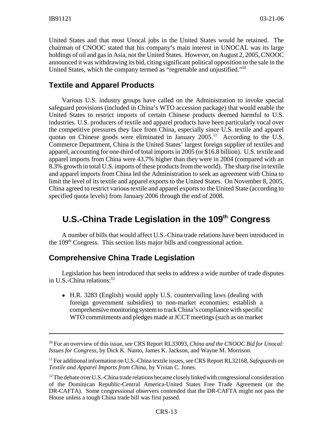United States and that most Unocal jobs in the United States would be retained. The chairman of CNOOC stated that his company's main interest in UNOCAL was its large holdings of oil and gas in Asia, not the United States. However, on August 2, 2005, CNOOC announced it was withdrawing its bid, citing significant political opposition to the sale in the United States, which the company termed as "regrettable and unjustified."<sup>10</sup>

## **Textile and Apparel Products**

Various U.S. industry groups have called on the Administration to invoke special safeguard provisions (included in China's WTO accession package) that would enable the United States to restrict imports of certain Chinese products deemed harmful to U.S. industries. U.S. producers of textile and apparel products have been particularly vocal over the competitive pressures they face from China, especially since U.S. textile and apparel quotas on Chinese goods were eliminated in January  $2005$ .<sup>11</sup> According to the U.S. Commerce Department, China is the United States' largest foreign supplier of textiles and apparel, accounting for one-third of total imports in 2005 (or \$16.8 billion). U.S. textile and apparel imports from China were 43.7% higher than they were in 2004 (compared with an 8.3% growth in total U.S. imports of these products from the world). The sharp rise in textile and apparel imports from China led the Administration to seek an agreement with China to limit the level of its textile and apparel exports to the United States. On November 8, 2005, China agreed to restrict various textile and apparel exports to the United State (according to specified quota levels) from January 2006 through the end of 2008.

# **U.S.-China Trade Legislation in the 109th Congress**

A number of bills that would affect U.S.-China trade relations have been introduced in the 109th Congress. This section lists major bills and congressional action.

## **Comprehensive China Trade Legislation**

Legislation has been introduced that seeks to address a wide number of trade disputes in U.S.-China relations: $12$ 

• H.R. 3283 (English) would apply U.S. countervailing laws (dealing with foreign government subsidies) to non-market economies; establish a comprehensive monitoring system to track China's compliance with specific WTO commitments and pledges made at JCCT meetings (such as on market

<sup>10</sup> For an overview of this issue, see CRS Report RL33093, *China and the CNOOC Bid for Unocal: Issues for Congress*, by Dick K. Nanto, James K. Jackson, and Wayne M. Morrison.

<sup>11</sup> For additional information on U.S.-China textile issues, see CRS Report RL32168, *Safeguards on Textile and Apparel Imports from China*, by Vivian C. Jones.

 $12$  The debate over U.S.-China trade relations became closely linked with congressional consideration of the Dominican Republic-Central America-United States Free Trade Agreement (or the DR-CAFTA). Some congressional observers contended that the DR-CAFTA might not pass the House unless a tough China trade bill was first passed.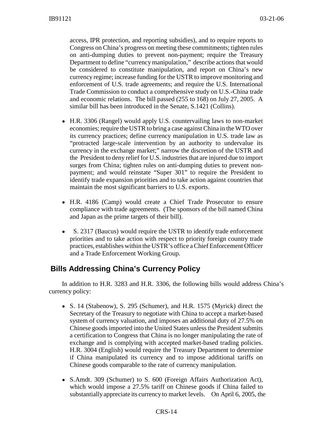access, IPR protection, and reporting subsidies), and to require reports to Congress on China's progress on meeting these commitments; tighten rules on anti-dumping duties to prevent non-payment; require the Treasury Department to define "currency manipulation," describe actions that would be considered to constitute manipulation, and report on China's new currency regime; increase funding for the USTR to improve monitoring and enforcement of U.S. trade agreements; and require the U.S. International Trade Commission to conduct a comprehensive study on U.S.-China trade and economic relations. The bill passed (255 to 168) on July 27, 2005. A similar bill has been introduced in the Senate, S.1421 (Collins).

- ! H.R. 3306 (Rangel) would apply U.S. countervailing laws to non-market economies; require the USTR to bring a case against China in the WTO over its currency practices; define currency manipulation in U.S. trade law as "protracted large-scale intervention by an authority to undervalue its currency in the exchange market;" narrow the discretion of the USTR and the President to deny relief for U.S. industries that are injured due to import surges from China; tighten rules on anti-dumping duties to prevent nonpayment; and would reinstate "Super 301" to require the President to identify trade expansion priorities and to take action against countries that maintain the most significant barriers to U.S. exports.
- H.R. 4186 (Camp) would create a Chief Trade Prosecutor to ensure compliance with trade agreements. (The sponsors of the bill named China and Japan as the prime targets of their bill).
- ! S. 2317 (Baucus) would require the USTR to identify trade enforcement priorities and to take action with respect to priority foreign country trade practices, establishes within the USTR's office a Chief Enforcement Officer and a Trade Enforcement Working Group.

## **Bills Addressing China's Currency Policy**

In addition to H.R. 3283 and H.R. 3306, the following bills would address China's currency policy:

- S. 14 (Stabenow), S. 295 (Schumer), and H.R. 1575 (Myrick) direct the Secretary of the Treasury to negotiate with China to accept a market-based system of currency valuation, and imposes an additional duty of 27.5% on Chinese goods imported into the United States unless the President submits a certification to Congress that China is no longer manipulating the rate of exchange and is complying with accepted market-based trading policies. H.R. 3004 (English) would require the Treasury Department to determine if China manipulated its currency and to impose additional tariffs on Chinese goods comparable to the rate of currency manipulation.
- S.Amdt. 309 (Schumer) to S. 600 (Foreign Affairs Authorization Act), which would impose a 27.5% tariff on Chinese goods if China failed to substantially appreciate its currency to market levels. On April 6, 2005, the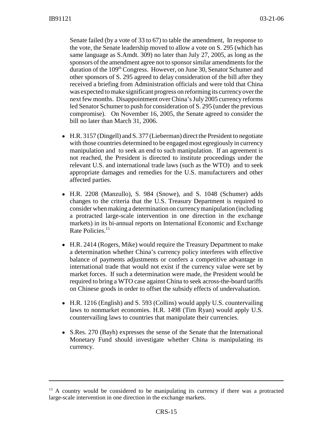Senate failed (by a vote of 33 to 67) to table the amendment, In response to the vote, the Senate leadership moved to allow a vote on S. 295 (which has same language as S.Amdt. 309) no later than July 27, 2005, as long as the sponsors of the amendment agree not to sponsor similar amendments for the duration of the 109<sup>th</sup> Congress. However, on June 30, Senator Schumer and other sponsors of S. 295 agreed to delay consideration of the bill after they received a briefing from Administration officials and were told that China was expected to make significant progress on reforming its currency over the next few months. Disappointment over China's July 2005 currency reforms led Senator Schumer to push for consideration of S. 295 (under the previous compromise). On November 16, 2005, the Senate agreed to consider the bill no later than March 31, 2006.

- ! H.R. 3157 (Dingell) and S. 377 (Lieberman) direct the President to negotiate with those countries determined to be engaged most egregiously in currency manipulation and to seek an end to such manipulation. If an agreement is not reached, the President is directed to institute proceedings under the relevant U.S. and international trade laws (such as the WTO) and to seek appropriate damages and remedies for the U.S. manufacturers and other affected parties.
- ! H.R. 2208 (Manzullo), S. 984 (Snowe), and S. 1048 (Schumer) adds changes to the criteria that the U.S. Treasury Department is required to consider when making a determination on currency manipulation (including a protracted large-scale intervention in one direction in the exchange markets) in its bi-annual reports on International Economic and Exchange Rate Policies.<sup>13</sup>
- H.R. 2414 (Rogers, Mike) would require the Treasury Department to make a determination whether China's currency policy interferes with effective balance of payments adjustments or confers a competitive advantage in international trade that would not exist if the currency value were set by market forces. If such a determination were made, the President would be required to bring a WTO case against China to seek across-the-board tariffs on Chinese goods in order to offset the subsidy effects of undervaluation.
- H.R. 1216 (English) and S. 593 (Collins) would apply U.S. countervailing laws to nonmarket economies. H.R. 1498 (Tim Ryan) would apply U.S. countervailing laws to countries that manipulate their currencies.
- S.Res. 270 (Bayh) expresses the sense of the Senate that the International Monetary Fund should investigate whether China is manipulating its currency.

<sup>&</sup>lt;sup>13</sup> A country would be considered to be manipulating its currency if there was a protracted large-scale intervention in one direction in the exchange markets.